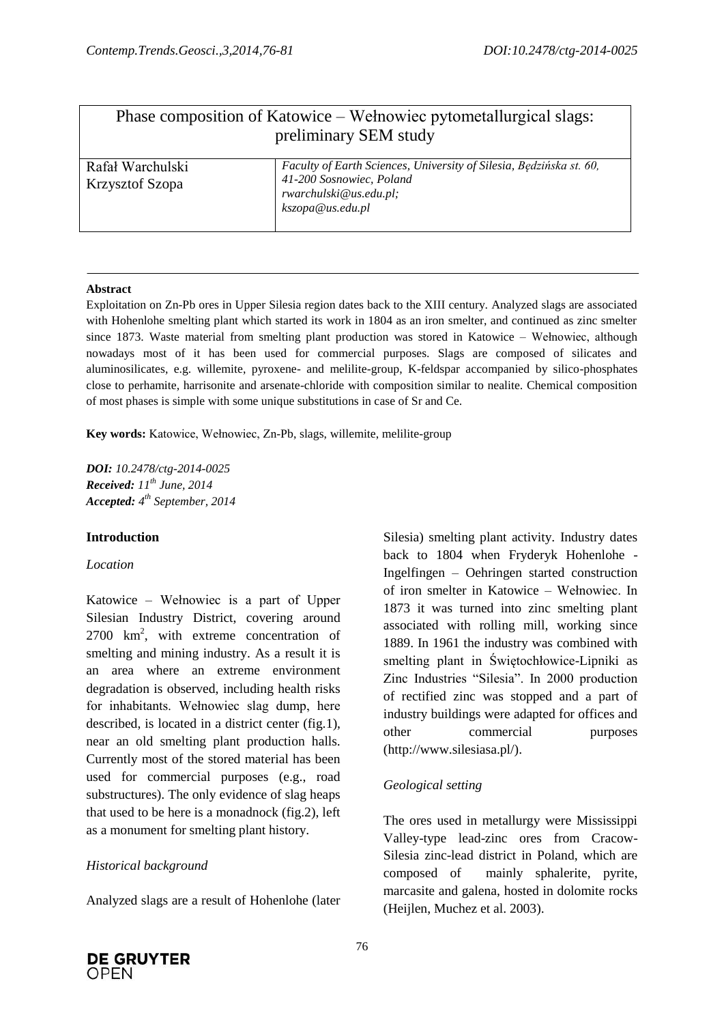# Phase composition of Katowice – Wełnowiec pytometallurgical slags: preliminary SEM study

| Rafał Warchulski<br><b>Krzysztof</b> Szopa | Faculty of Earth Sciences, University of Silesia, Bedzińska st. 60,<br>41-200 Sosnowiec, Poland<br>rwarchulski@us.edu.pl;<br>kszopa@us.edu.pl |
|--------------------------------------------|-----------------------------------------------------------------------------------------------------------------------------------------------|
|                                            |                                                                                                                                               |

#### **Abstract**

Exploitation on Zn-Pb ores in Upper Silesia region dates back to the XIII century. Analyzed slags are associated with Hohenlohe smelting plant which started its work in 1804 as an iron smelter, and continued as zinc smelter since 1873. Waste material from smelting plant production was stored in Katowice – Wełnowiec, although nowadays most of it has been used for commercial purposes. Slags are composed of silicates and aluminosilicates, e.g. willemite, pyroxene- and melilite-group, K-feldspar accompanied by silico-phosphates close to perhamite, harrisonite and arsenate-chloride with composition similar to nealite. Chemical composition of most phases is simple with some unique substitutions in case of Sr and Ce.

**Key words:** Katowice, Wełnowiec, Zn-Pb, slags, willemite, melilite-group

*DOI: 10.2478/ctg-2014-0025 Received: 11th June, 2014 Accepted: 4 th September, 2014*

## **Introduction**

## *Location*

Katowice – Wełnowiec is a part of Upper Silesian Industry District, covering around 2700 km<sup>2</sup>, with extreme concentration of smelting and mining industry. As a result it is an area where an extreme environment degradation is observed, including health risks for inhabitants. Wełnowiec slag dump, here described, is located in a district center (fig.1), near an old smelting plant production halls. Currently most of the stored material has been used for commercial purposes (e.g., road substructures). The only evidence of slag heaps that used to be here is a monadnock (fig.2), left as a monument for smelting plant history.

## *Historical background*

Analyzed slags are a result of Hohenlohe (later

Silesia) smelting plant activity. Industry dates back to 1804 when Fryderyk Hohenlohe - Ingelfingen – Oehringen started construction of iron smelter in Katowice – Wełnowiec. In 1873 it was turned into zinc smelting plant associated with rolling mill, working since 1889. In 1961 the industry was combined with smelting plant in Świętochłowice-Lipniki as Zinc Industries "Silesia". In 2000 production of rectified zinc was stopped and a part of industry buildings were adapted for offices and other commercial purposes (http://www.silesiasa.pl/).

## *Geological setting*

The ores used in metallurgy were Mississippi Valley-type lead-zinc ores from Cracow-Silesia zinc-lead district in Poland, which are composed of mainly sphalerite, pyrite, marcasite and galena, hosted in dolomite rocks (Heijlen, Muchez et al. 2003).

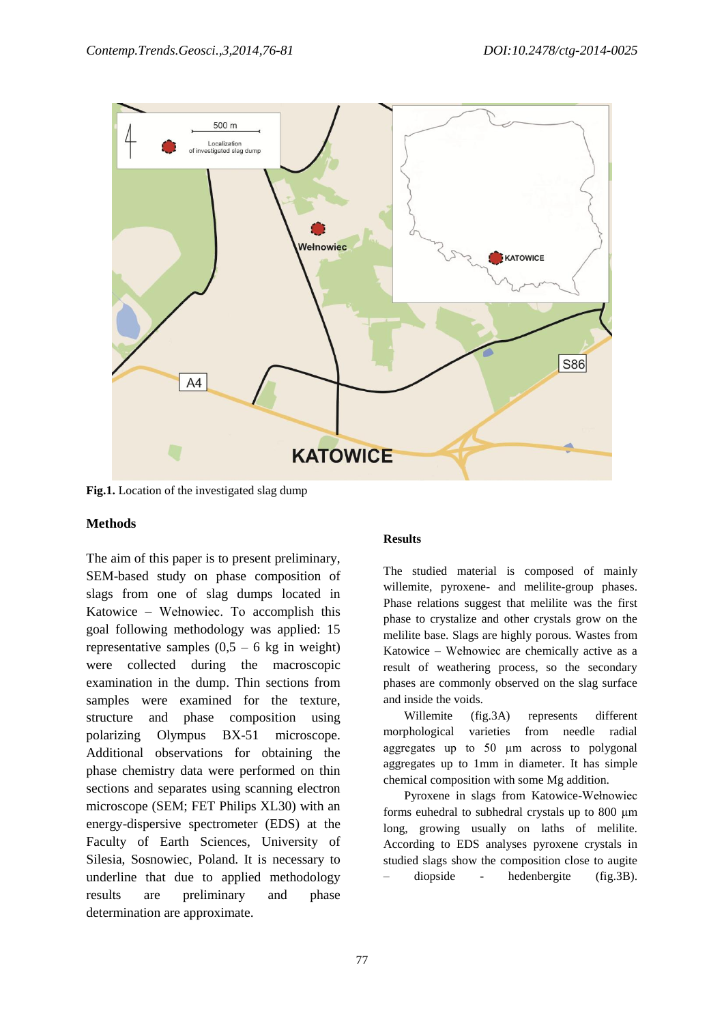

**Fig.1.** Location of the investigated slag dump

## **Methods**

The aim of this paper is to present preliminary, SEM-based study on phase composition of slags from one of slag dumps located in Katowice – Wełnowiec. To accomplish this goal following methodology was applied: 15 representative samples  $(0.5 - 6 \text{ kg in weight})$ were collected during the macroscopic examination in the dump. Thin sections from samples were examined for the texture, structure and phase composition using polarizing Olympus BX-51 microscope. Additional observations for obtaining the phase chemistry data were performed on thin sections and separates using scanning electron microscope (SEM; FET Philips XL30) with an energy-dispersive spectrometer (EDS) at the Faculty of Earth Sciences, University of Silesia, Sosnowiec, Poland. It is necessary to underline that due to applied methodology results are preliminary and phase determination are approximate.

#### **Results**

The studied material is composed of mainly willemite, pyroxene- and melilite-group phases. Phase relations suggest that melilite was the first phase to crystalize and other crystals grow on the melilite base. Slags are highly porous. Wastes from Katowice – Wełnowiec are chemically active as a result of weathering process, so the secondary phases are commonly observed on the slag surface and inside the voids.

Willemite (fig.3A) represents different morphological varieties from needle radial aggregates up to 50 µm across to polygonal aggregates up to 1mm in diameter. It has simple chemical composition with some Mg addition.

Pyroxene in slags from Katowice-Wełnowiec forms euhedral to subhedral crystals up to 800 µm long, growing usually on laths of melilite. According to EDS analyses pyroxene crystals in studied slags show the composition close to augite diopside - hedenbergite (fig.3B).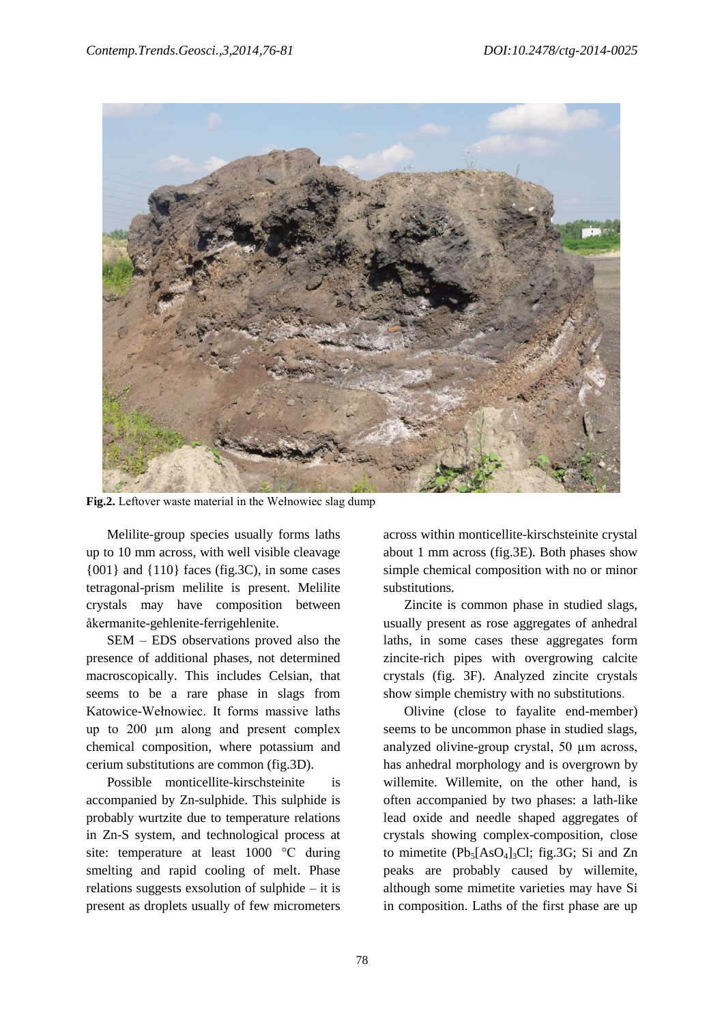

**Fig.2.** Leftover waste material in the Wełnowiec slag dump

Melilite-group species usually forms laths up to 10 mm across, with well visible cleavage  ${001}$  and  ${110}$  faces (fig. 3C), in some cases tetragonal-prism melilite is present. Melilite crystals may have composition between åkermanite-gehlenite-ferrigehlenite.

SEM – EDS observations proved also the presence of additional phases, not determined macroscopically. This includes Celsian, that seems to be a rare phase in slags from Katowice-Wełnowiec. It forms massive laths up to 200 µm along and present complex chemical composition, where potassium and cerium substitutions are common (fig.3D).

Possible monticellite-kirschsteinite is accompanied by Zn-sulphide. This sulphide is probably wurtzite due to temperature relations in Zn-S system, and technological process at site: temperature at least 1000 °C during smelting and rapid cooling of melt. Phase relations suggests exsolution of sulphide – it is present as droplets usually of few micrometers

across within monticellite-kirschsteinite crystal about 1 mm across (fig.3E). Both phases show simple chemical composition with no or minor substitutions.

Zincite is common phase in studied slags, usually present as rose aggregates of anhedral laths, in some cases these aggregates form zincite-rich pipes with overgrowing calcite crystals (fig. 3F). Analyzed zincite crystals show simple chemistry with no substitutions.

Olivine (close to fayalite end-member) seems to be uncommon phase in studied slags, analyzed olivine-group crystal, 50 µm across, has anhedral morphology and is overgrown by willemite. Willemite, on the other hand, is often accompanied by two phases: a lath-like lead oxide and needle shaped aggregates of crystals showing complex-composition, close to mimetite  $(Pb_5[AsO_4]_3Cl;$  fig.3G; Si and Zn peaks are probably caused by willemite, although some mimetite varieties may have Si in composition. Laths of the first phase are up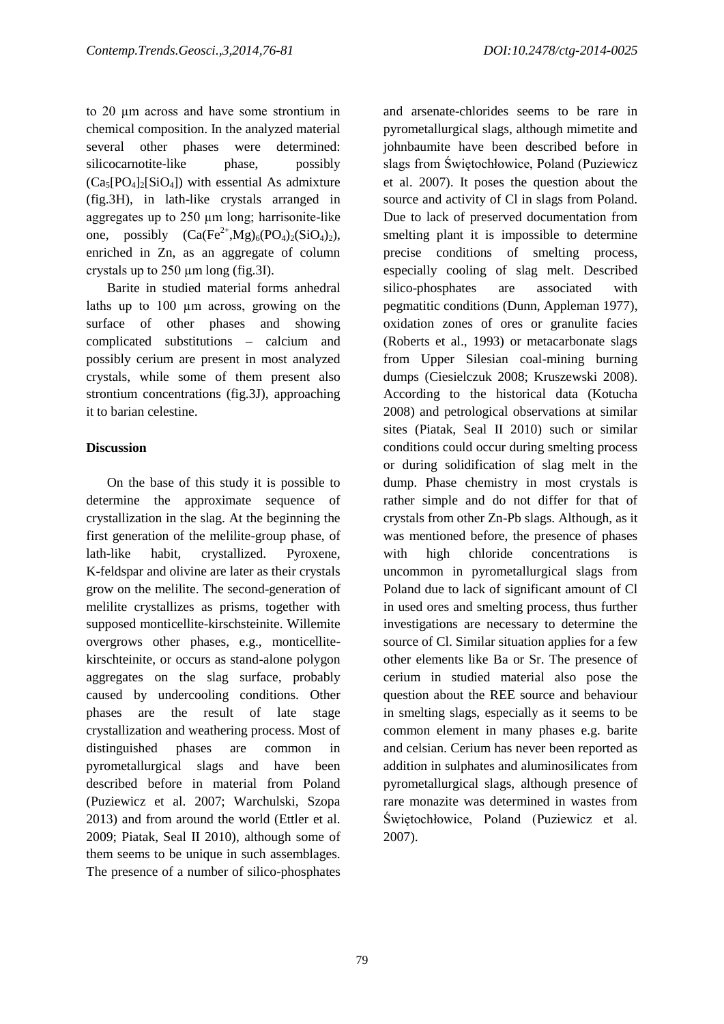to 20 µm across and have some strontium in chemical composition. In the analyzed material several other phases were determined: silicocarnotite-like phase, possibly  $(Ca<sub>5</sub>[PO<sub>4</sub>]<sub>2</sub>[SiO<sub>4</sub>])$  with essential As admixture (fig.3H), in lath-like crystals arranged in aggregates up to 250 µm long; harrisonite-like one, possibly  $(Ca(Fe^{2+}, Mg)<sub>6</sub>(PO<sub>4</sub>)<sub>2</sub>(SiO<sub>4</sub>)<sub>2</sub>),$ enriched in Zn, as an aggregate of column crystals up to  $250 \mu m$  long (fig. 3I).

Barite in studied material forms anhedral laths up to 100 µm across, growing on the surface of other phases and showing complicated substitutions – calcium and possibly cerium are present in most analyzed crystals, while some of them present also strontium concentrations (fig.3J), approaching it to barian celestine.

## **Discussion**

On the base of this study it is possible to determine the approximate sequence of crystallization in the slag. At the beginning the first generation of the melilite-group phase, of lath-like habit, crystallized. Pyroxene, K-feldspar and olivine are later as their crystals grow on the melilite. The second-generation of melilite crystallizes as prisms, together with supposed monticellite-kirschsteinite. Willemite overgrows other phases, e.g., monticellitekirschteinite, or occurs as stand-alone polygon aggregates on the slag surface, probably caused by undercooling conditions. Other phases are the result of late stage crystallization and weathering process. Most of distinguished phases are common in pyrometallurgical slags and have been described before in material from Poland (Puziewicz et al. 2007; Warchulski, Szopa 2013) and from around the world (Ettler et al. 2009; Piatak, Seal II 2010), although some of them seems to be unique in such assemblages. The presence of a number of silico-phosphates

and arsenate-chlorides seems to be rare in pyrometallurgical slags, although mimetite and johnbaumite have been described before in slags from Świętochłowice, Poland (Puziewicz et al. 2007). It poses the question about the source and activity of Cl in slags from Poland. Due to lack of preserved documentation from smelting plant it is impossible to determine precise conditions of smelting process, especially cooling of slag melt. Described silico-phosphates are associated with pegmatitic conditions (Dunn, Appleman 1977), oxidation zones of ores or granulite facies (Roberts et al., 1993) or metacarbonate slags from Upper Silesian coal-mining burning dumps (Ciesielczuk 2008; Kruszewski 2008). According to the historical data (Kotucha 2008) and petrological observations at similar sites (Piatak, Seal II 2010) such or similar conditions could occur during smelting process or during solidification of slag melt in the dump. Phase chemistry in most crystals is rather simple and do not differ for that of crystals from other Zn-Pb slags. Although, as it was mentioned before, the presence of phases with high chloride concentrations is uncommon in pyrometallurgical slags from Poland due to lack of significant amount of Cl in used ores and smelting process, thus further investigations are necessary to determine the source of Cl. Similar situation applies for a few other elements like Ba or Sr. The presence of cerium in studied material also pose the question about the REE source and behaviour in smelting slags, especially as it seems to be common element in many phases e.g. barite and celsian. Cerium has never been reported as addition in sulphates and aluminosilicates from pyrometallurgical slags, although presence of rare monazite was determined in wastes from Świętochłowice, Poland (Puziewicz et al. 2007).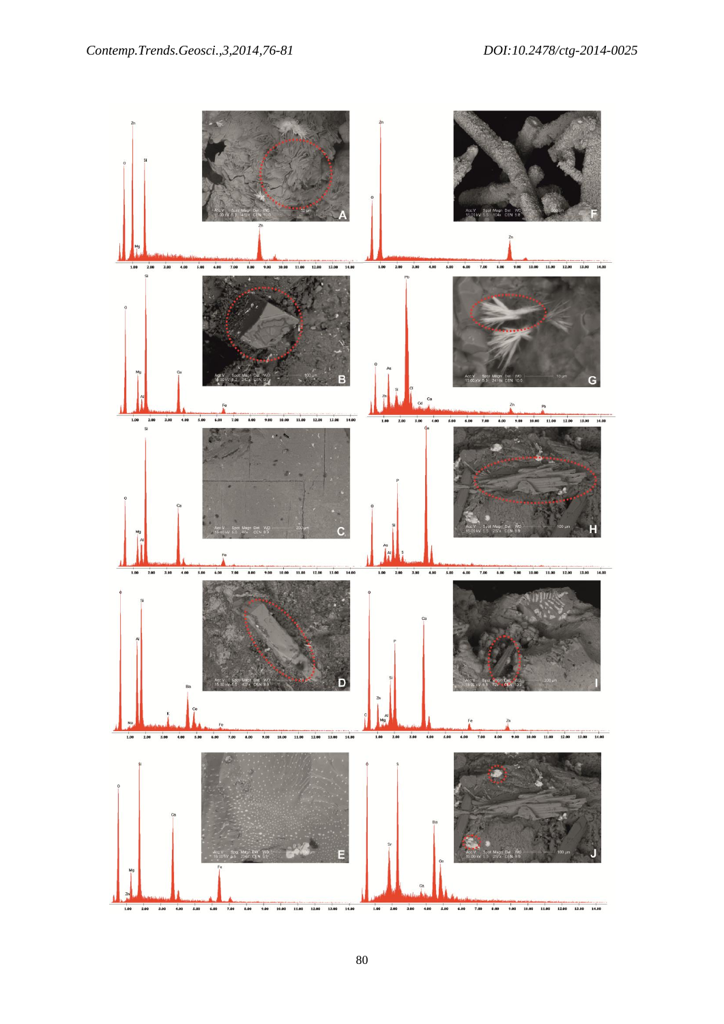